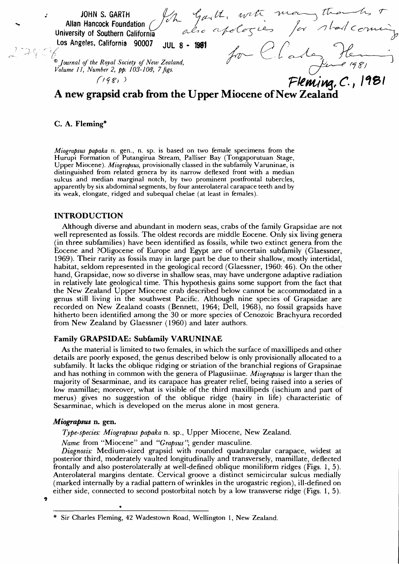JOHN S. GARTH<br>
I Hancock Foundation for  $\frac{f_{\ell+1}}{f_{\ell+1}}$ , with mean there is the the the to the Southern California<br>
refers, California 90007 JUL 8 - 1981<br>
1 of the Royal Society of New Zealand,<br>
1. Number 2, pp. 103-**Allan Hancock Foundation University of Southern California ^^^' Los Angeles, California 90007 JU L 8 - 1981**  *® Journal of the Royal Society of New Zealand, Volume 11, Number 2, pp. 103-108, 7 figs.*   $(198)$ **A new grapsid crab from the Upper Miocene of New Zealand** 

## **C. A. Fleming\***

*Miograpsus papaka* n. gen., n. sp. is based on two female specimens from the Hurupi Formation of Putangirua Stream, Palliser Bay (Tongaporutuan Stage, Upper Miocene). *Miograpsus,* provisionally classed in the subfamily Varuninae, is distinguished from related genera by its narrow deflexed front with a median sulcus and median marginal notch, by two prominent postfrontal tubercles, apparently by six abdominal segments, by four anterolateral carapace teeth and by its weak, elongate, ridged and subequal chelae (at least in females).

#### **INTRODUCTION**

Although diverse and abundant in modern seas, crabs of the family Grapsidae are not well represented as fossils. The oldest records are middle Eocene. Only six living genera (in three subfamilies) have been identified as fossils, while two extinct genera from the Eocene and ?01igocene of Europe and Egypt are of uncertain subfamily (Glaessner, 1969). Their rarity as fossils may in large part be due to their shallow, mostly intertidal, habitat, seldom represented in the geological record (Glaessner, 1960: 46). On the other hand, Grapsidae, now so diverse in shallow seas, may have undergone adaptive radiation in relatively late geological time. This hypothesis gains some support from the fact that the New Zealand Upper Miocene crab described below cannot be accommodated in a genus still living in the southwest Pacific. Although nine species of Grapsidae are recorded on New Zealand coasts (Bennett, 1964; Dell, 1968), no fossil grapsids have hitherto been identified among the 30 or more species of Cenozoic Brachyura recorded from New Zealand by Glaessner (1960) and later authors.

# **Family GRAPSIDAE: Subfamily VARUNINAE**

As the material is limited to two females, in which the surface of maxillipeds and other details are poorly exposed, the genus described below is only provisionally allocated to a subfamily. It lacks the oblique ridging or striation of the branchial regions of Grapsinae and has nothing in common with the genera of Plagusiinae. *Miograpsus* is larger than the majority of Sesarminae, and its carapace has greater relief, being raised into a series of low mamillae; moreover, what is visible of the third maxillipeds (ischium and part of merus) gives no suggestion of the oblique ridge (hairy in life) characteristic of Sesarminae, which is developed on the merus alone in most genera.

### *Miograpsus* **n. gen.**

*Type-species: Miograpsus papaka* n. sp.. Upper Miocene, New Zealand.

*Name:* from "Miocene" and *"Grapsus";* gender masculine.

*Diagnosis:* Medium-sized grapsid with rounded quadrangular carapace, widest at posterior third, moderately vaulted longitudinally and transversely, mamillate, deflected frontally and also posterolaterally at well-defined oblique moniliform ridges (Figs. 1, 5). Anterolateral margins dentate. Cervical groove a distinct semicircular sulcus medially (marked internally by a radial pattern of wrinkles in the urogastric region), ill-defined on either side, connected to second postorbital notch by a low transverse ridge (Figs. 1,5).

Ą

Sir Charles Fleming, 42 Wadestown Road, Wellington 1, New Zealand.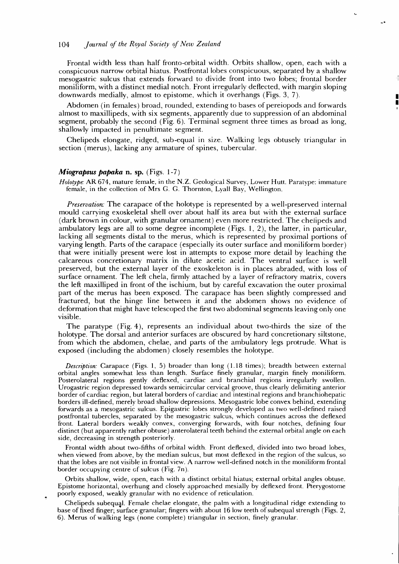## 104 *Journal of the Royal Society of Neiv Zealand*

Frontal width less than half fronto-orbital width. Orbits shallow, open, each with a conspicuous narrow orbital hiatus. Postfrontal lobes conspicuous, separated by a shallow mesogastric sulcus that extends forward to divide front into two lobes; frontal border moniliform, with a distinct medial notch. Front irregularly deflected, with margin sloping downwards medially, almost to epistome, which it overhangs (Figs. 3, 7).

Abdomen (in females) broad, rounded, extending to bases of pereiopods and forwards almost to maxillipeds, with six segments, apparently due to suppression of an abdominal segment, probably the second (Fig. 6). Terminal segment three times as broad as long, shallowly impacted in penultimate segment.

Chelipeds elongate, ridged, sub-equal in size. Walking legs obtusely triangular in section (merus), lacking any armature of spines, tubercular.

#### *Miograpsus papaka* **n. sp.** (Figs. 1-7)

*Holotype:* AR674, mature female, in the N.Z. Geological Survey, Lower Hutt. Paratype: immature female, in the collection of Mrs G. G. Thornton, Lyall Bay, Wellington.

*Preservation:* The carapace of the holotype is represented by a well-preserved internal mould carrying exoskeletal shell over about half its area but with the external surface (dark brown in colour, with granular ornament) even more restricted. The chelipeds and ambulatory legs are all to some degree incomplete (Figs. 1, 2), the latter, in particular, lacking all segments distal to the merus, which is represented by proximal portions of varying length. Parts of the carapace (especially its outer surface and moniliform border) that were initially present were lost in attempts to expose more detail by leaching the calcareous concretionary matrix in dilute acetic acid. The ventral surface is well preserved, but the external layer of the exoskeleton is in places abraded, with loss of surface ornament. The left chela, firmly attached by a layer of refractory matrix, covers the left maxilliped in front of the ischium, but by careful excavation the outer proximal part of the merus has been exposed. The carapace has been slightly compressed and fractured, but the hinge line between it and the abdomen shows no evidence of deformation that might have telescoped the first two abdominal segments leaving only one visible.

The paratype (Fig. 4), represents an individual about two-thirds the size of the holotype. The dorsal and anterior surfaces are obscured by hard concretionary siltstone, from which the abdomen, chelae, and parts of the ambulatory legs protrude. What is exposed (including the abdomen) closely resembles the holotype.

*Description:* Carapace (Figs. 1, 5) broader than long (1.18 times); breadth between external orbital angles somewhat less than length. Surface finely granular, margin finely moniliform. Posterolateral regions gently deflexed, cardiac and branchial regions irregularly swollen. Urogastric region depressed towards semicircular cervical groove, thus clearly delimiting anterior border of cardiac region, but lateral borders of cardiac and intestinal regions and branchiohepatic borders ill-defined, merely broad shallow depressions. Mesogastric lobe convex behind, extending forwards as a mesogastric sulcus. Epigastric lobes strongly developed as two well-defined raised postfrontal tubercles, separated by the mesogastric sulcus, which continues across the deflexed front. Lateral borders weakly convex, converging forwards, with four notches, defining four distinct (but apparently rather obtuse) anterolateral teeth behind the external orbital angle on each side, decreasing in strength posteriorly.

Frontal width about two-fifths of orbital width. Front deflexed, divided into two broad lobes, when viewed from above, by the median sulcus, but most deflexed in the region of the sulcus, so that the lobes are not visible in frontal view. A narrow well-defined notch in the moniliform frontal border occupying centre of sulcus (Fig. 7n).

Orbits shallow, wide, open, each with a distinct orbital hiatus; external orbital angles obtuse. Epistome horizontal, overhung and closely approached mesially by deflexed front. Pterygostome poorly exposed, weakly granular with no evidence of reticulation.

Chelipeds subequal. Female chelae elongate, the palm with a longitudinal ridge extending to base of fixed finger; surface granular; fingers with about 16 low teeth of subequal strength (Figs. 2, 6). Merus of walking legs (none complete) triangular in section, finely granular.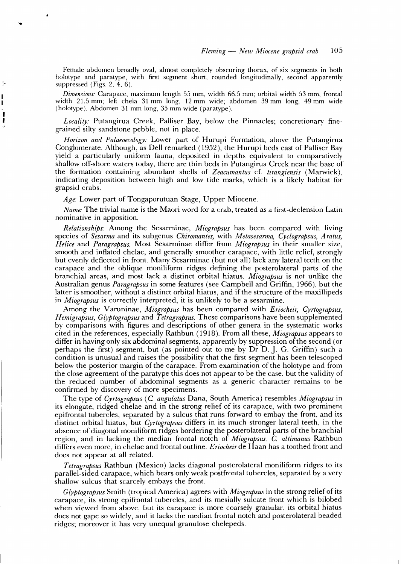Female abdomen broadly oval, almost completely obscuring thorax, of six segments in both holotype and paratype, with first segment short, rounded longitudinally, second apparently suppressed (Figs. 2, 4, 6).

*Dimensions:* Carapace, maximum length 55 mm, width 66.5 mm; orbital width 53 mm, frontal width 21.5 mm; left chela 31mm long, 12 mm wide; abdomen 39 mm long, 49 mm wide (holotype). Abdomen 31 mm long, 35 mm wide (paratype).

*Locality:* Putangirua Creek, Palliser Bay, below the Pinnacles; concretionary finegrained silty sandstone pebble, not in place.

*Horizon and Palaeoecology:* Lower part of Hurupi Formation, above the Putangirua Conglomerate. Although, as Dell remarked (1952), the Hurupi beds east of Palliser Bay yield a particularly uniform fauna, deposited in depths equivalent to comparatively shallow off-shore waters today, there are thin beds in Putangirua Creek near the base of the formation containing abundant shells of *Zeacumantus* cf *tirangiensis* (Marwick), indicating deposition between high and low tide marks, which is a likely habitat for grapsid crabs.

*Age:* Lower part of Tongaporutuan Stage, Upper Miocene.

*Name:* The trivial name is the Maori word for a crab, treated as a first-declension Latin nominative in apposition.

*Relationships:* Among the Sesarminae, *Miograpsus* has been compared with living species of *Sesarma* and its subgenus *Chiromantes,* with *Metasesarma, Cyclograpsus, Aratus, Helice* and *Paragrapsus.* Most Sesarminae differ from *Miograpsus* in their smaller size, smooth and inflated chelae, and generally smoother carapace, with little relief, strongly but evenly deflected in front. Many Sesarminae (but not all) lack any lateral teeth on the carapace and the oblique moniliform ridges defining the posterolateral parts of the branchial areas, and most lack a distinct orbital hiatus. *Miograpsus* is not unlike the Australian genus *Paragrapsus* in some features (see Campbell and Griffin, 1966), but the latter is smoother, without a distinct orbital hiatus, and if the structure of the maxillipeds in *Miograpsus* is correctly interpreted, it is unlikely to be a sesarmine.

Among the Varuninae, *Miograpsus* has been compared with *Eriocheir, Cyrtograpsus, Hemigrapsus, Glyptograpsus* and *Tetragrapsus.* These comparisons have been supplemented by comparisons with figures and descriptions of other genera in the systematic works cited in the references, especially Rathbun (1918). From all these, Miograpsus appears to differ in having only six abdominal segments, apparently by suppression of the second (or perhaps the first) segment, but (as pointed out to me by Dr D. J. G. Griffin) such a condition is unusual and raises the possibility that the first segment has been telescoped below the posterior margin of the carapace. From examination of the holotype and from the close agreement of the paratype this does not appear to be the case, but the validity of the reduced number of abdominal segments as a generic character remains to be confirmed by discovery of more specimens.

The type of *Cyrtograpsus* (C *angulatus* Dana, South America) resembles *Miograpsus* in its elongate, ridged chelae and in the strong relief of its carapace, with two prominent epifrontal tubercles, separated by a sulcus that runs forward to embay the front, and its distinct orbital hiatus, but *Cyrtograpsus* differs in its much stronger lateral teeth, in the absence of diagonal moniliform ridges bordering the posterolateral parts of the branchial region, and in lacking the median frontal notch of *Miograpsus. C. altimanus* Rathbun differs even more, in chelae and frontal outline. *Eriocheir dc* Haan has a toothed front and does not appear at all related.

*Tetragrapsus* Rathbun (Mexico) lacks diagonal posterolateral moniliform ridges to its parallel-sided carapace, which bears only weak postfrontal tubercles, separated by a very shallow sulcus that scarcely embays the front.

*Glyptograpsus* Smith (tropical America) agrees with *Miograpsus* in the strong relief of its carapace, its strong epifrontal tubercles, and its mesially sulcate front which is bilobed when viewed from above, but its carapace is more coarsely granular, its orbital hiatus does not gape so widely, and it lacks the median frontal notch and posterolateral beaded ridges; moreover it has very unequal granulose chelepeds.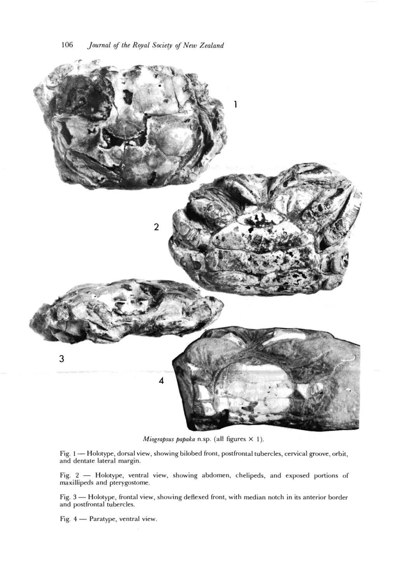

*Miograpsus papaka* n.sp. (all figures X I).

Fig. I — Holotype, dorsal view, showing bilobed front, postfrontal tubercles, cervical groove, orbit, and dentate lateral margin.

Fig. 2 — Holotype, ventral view, showing abdomen, chelipeds, and exposed portions of maxiliipeds and pterygostome.

Fig. 3 — Holotype, frontal view, showing deflexed front, with median notch in its anterior border and postfrontal tubercles.

Fig. 4 — Paratype, ventral view.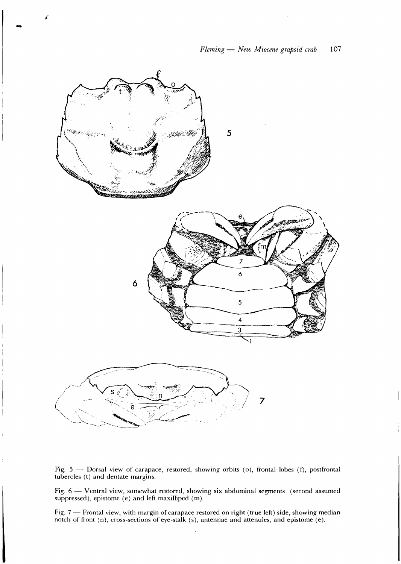

Fig. 5 — Dorsal view of carapace, restored, showing orbits (o), frontal lobes (f), postfrontal tubercles (t) and dentate margins.

Fig. 6 — Ventral view, somewhat restored, showing six abdominal segments (second assumed suppressed), epistome (e) and left maxilliped (m).

Fig. 7 — Frontal view, with margin of carapace restored on right (true left) side, showing median notch of front (n), cross-sections of eye-stalk (s), antennae and attenules, and epistome (e).